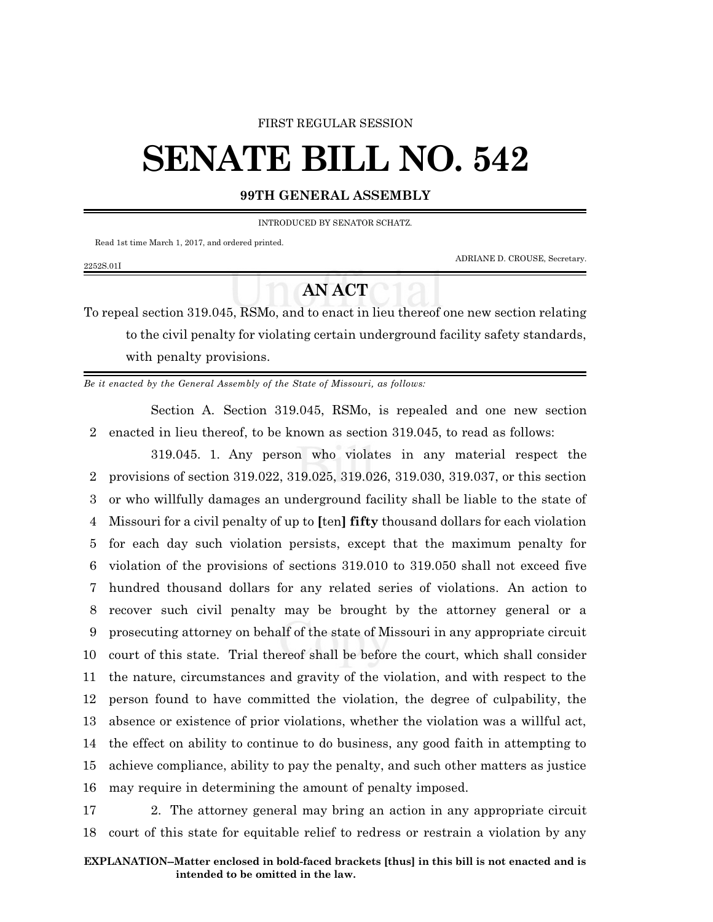### FIRST REGULAR SESSION

# **SENATE BILL NO. 542**

### **99TH GENERAL ASSEMBLY**

INTRODUCED BY SENATOR SCHATZ.

Read 1st time March 1, 2017, and ordered printed.

2252S.01I

ADRIANE D. CROUSE, Secretary.

# **AN ACT**

To repeal section 319.045, RSMo, and to enact in lieu thereof one new section relating to the civil penalty for violating certain underground facility safety standards, with penalty provisions.

*Be it enacted by the General Assembly of the State of Missouri, as follows:*

Section A. Section 319.045, RSMo, is repealed and one new section 2 enacted in lieu thereof, to be known as section 319.045, to read as follows:

319.045. 1. Any person who violates in any material respect the provisions of section 319.022, 319.025, 319.026, 319.030, 319.037, or this section or who willfully damages an underground facility shall be liable to the state of Missouri for a civil penalty of up to **[**ten**] fifty** thousand dollars for each violation for each day such violation persists, except that the maximum penalty for violation of the provisions of sections 319.010 to 319.050 shall not exceed five hundred thousand dollars for any related series of violations. An action to recover such civil penalty may be brought by the attorney general or a prosecuting attorney on behalf of the state of Missouri in any appropriate circuit court of this state. Trial thereof shall be before the court, which shall consider the nature, circumstances and gravity of the violation, and with respect to the person found to have committed the violation, the degree of culpability, the absence or existence of prior violations, whether the violation was a willful act, the effect on ability to continue to do business, any good faith in attempting to achieve compliance, ability to pay the penalty, and such other matters as justice may require in determining the amount of penalty imposed.

17 2. The attorney general may bring an action in any appropriate circuit 18 court of this state for equitable relief to redress or restrain a violation by any